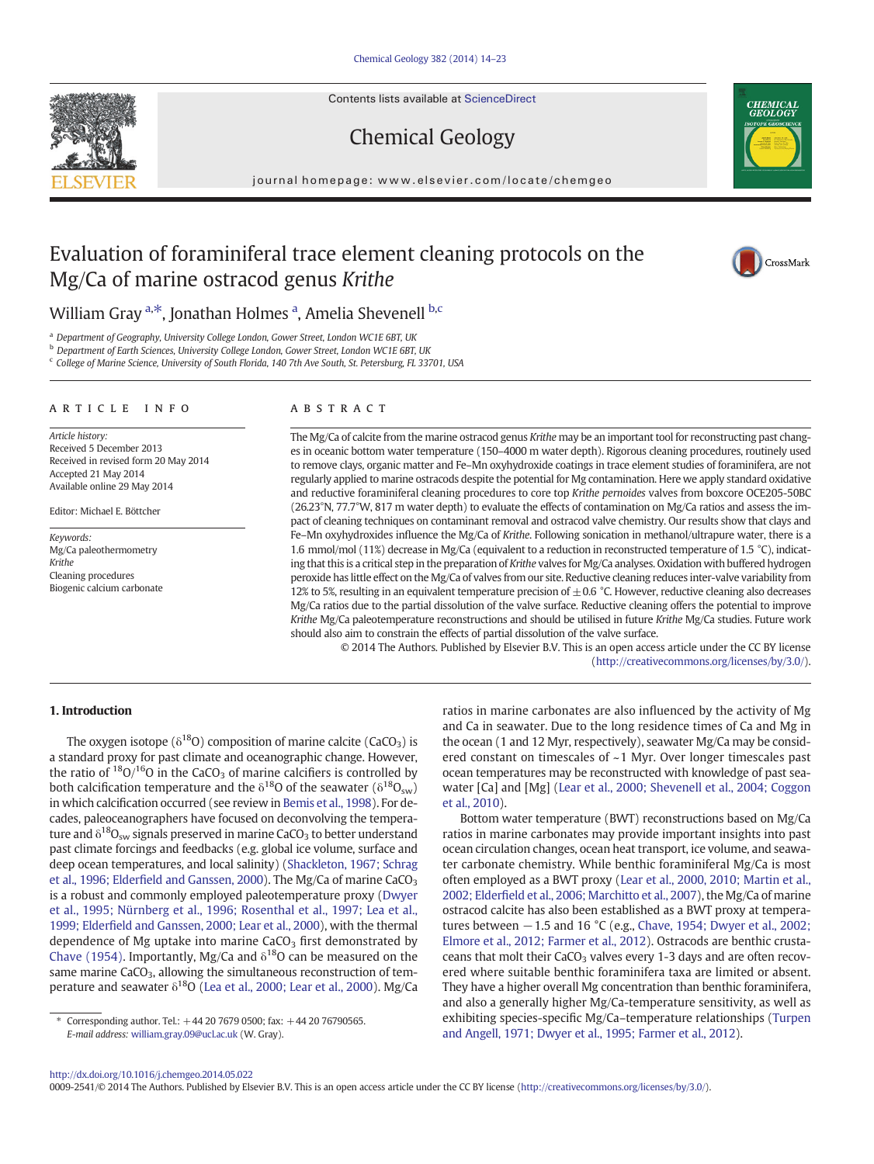Contents lists available at ScienceDirect

# Chemical Geology

journal homepage: www.elsevier.com/locate/chemgeo

# Evaluation of foraminiferal trace element cleaning protocols on the Mg/Ca of marine ostracod genus Krithe

William Gray <sup>a,\*</sup>, Jonathan Holmes <sup>a</sup>, Amelia Shevenell <sup>b,c</sup>

<sup>a</sup> Department of Geography, University College London, Gower Street, London WC1E 6BT, UK

**b** Department of Earth Sciences, University College London, Gower Street, London WC1E 6BT, UK

<sup>c</sup> College of Marine Science, University of South Florida, 140 7th Ave South, St. Petersburg, FL 33701, USA

## article info abstract

Article history: Received 5 December 2013 Received in revised form 20 May 2014 Accepted 21 May 2014 Available online 29 May 2014

Editor: Michael E. Böttcher

Keywords: Mg/Ca paleothermometry Krithe Cleaning procedures Biogenic calcium carbonate

The Mg/Ca of calcite from the marine ostracod genus Krithe may be an important tool for reconstructing past changes in oceanic bottom water temperature (150–4000 m water depth). Rigorous cleaning procedures, routinely used to remove clays, organic matter and Fe–Mn oxyhydroxide coatings in trace element studies of foraminifera, are not regularly applied to marine ostracods despite the potential for Mg contamination. Here we apply standard oxidative and reductive foraminiferal cleaning procedures to core top Krithe pernoides valves from boxcore OCE205-50BC (26.23°N, 77.7°W, 817 m water depth) to evaluate the effects of contamination on Mg/Ca ratios and assess the impact of cleaning techniques on contaminant removal and ostracod valve chemistry. Our results show that clays and Fe–Mn oxyhydroxides influence the Mg/Ca of Krithe. Following sonication in methanol/ultrapure water, there is a 1.6 mmol/mol (11%) decrease in Mg/Ca (equivalent to a reduction in reconstructed temperature of 1.5 °C), indicating that this is a critical step in the preparation of Krithe valves for Mg/Ca analyses. Oxidation with buffered hydrogen peroxide has little effect on the Mg/Ca of valves from our site. Reductive cleaning reduces inter-valve variability from 12% to 5%, resulting in an equivalent temperature precision of  $\pm$  0.6 °C. However, reductive cleaning also decreases Mg/Ca ratios due to the partial dissolution of the valve surface. Reductive cleaning offers the potential to improve Krithe Mg/Ca paleotemperature reconstructions and should be utilised in future Krithe Mg/Ca studies. Future work should also aim to constrain the effects of partial dissolution of the valve surface.

© 2014 The Authors. Published by Elsevier B.V. This is an open access article under the CC BY license [\(http://creativecommons.org/licenses/by/3.0/](http://creativecommons.org/licenses/by/3.0/)).

#### 1. Introduction

The oxygen isotope ( $\delta^{18}O$ ) composition of marine calcite (CaCO<sub>3</sub>) is a standard proxy for past climate and oceanographic change. However, the ratio of  $18O/16O$  in the CaCO<sub>3</sub> of marine calcifiers is controlled by both calcification temperature and the  $\delta^{18}$ O of the seawater ( $\delta^{18}$ O<sub>sw</sub>) in which calcification occurred (see review in [Bemis et al., 1998](#page-8-0)). For decades, paleoceanographers have focused on deconvolving the temperature and  $\delta^{18}O_{\text{sw}}$  signals preserved in marine CaCO<sub>3</sub> to better understand past climate forcings and feedbacks (e.g. global ice volume, surface and deep ocean temperatures, and local salinity) [\(Shackleton, 1967; Schrag](#page-9-0) et al., 1996; Elderfi[eld and Ganssen, 2000](#page-9-0)). The Mg/Ca of marine CaCO<sub>3</sub> is a robust and commonly employed paleotemperature proxy ([Dwyer](#page-8-0) [et al., 1995; Nürnberg et al., 1996; Rosenthal et al., 1997; Lea et al.,](#page-8-0) 1999; Elderfi[eld and Ganssen, 2000; Lear et al., 2000\)](#page-8-0), with the thermal dependence of Mg uptake into marine  $CaCO<sub>3</sub>$  first demonstrated by [Chave \(1954\).](#page-8-0) Importantly, Mg/Ca and  $\delta^{18}$ O can be measured on the same marine CaCO<sub>3</sub>, allowing the simultaneous reconstruction of temperature and seawater  $\delta^{18}O$  [\(Lea et al., 2000; Lear et al., 2000](#page-9-0)). Mg/Ca

ratios in marine carbonates are also influenced by the activity of Mg and Ca in seawater. Due to the long residence times of Ca and Mg in the ocean (1 and 12 Myr, respectively), seawater Mg/Ca may be considered constant on timescales of ~1 Myr. Over longer timescales past ocean temperatures may be reconstructed with knowledge of past seawater [Ca] and [Mg] ([Lear et al., 2000; Shevenell et al., 2004; Coggon](#page-9-0) [et al., 2010](#page-9-0)).

Bottom water temperature (BWT) reconstructions based on Mg/Ca ratios in marine carbonates may provide important insights into past ocean circulation changes, ocean heat transport, ice volume, and seawater carbonate chemistry. While benthic foraminiferal Mg/Ca is most often employed as a BWT proxy ([Lear et al., 2000, 2010; Martin et al.,](#page-9-0) 2002; Elderfi[eld et al., 2006; Marchitto et al., 2007\)](#page-9-0), the Mg/Ca of marine ostracod calcite has also been established as a BWT proxy at temperatures between  $-1.5$  and 16 °C (e.g., [Chave, 1954; Dwyer et al., 2002;](#page-8-0) [Elmore et al., 2012; Farmer et al., 2012](#page-8-0)). Ostracods are benthic crustaceans that molt their CaCO<sub>3</sub> valves every 1-3 days and are often recovered where suitable benthic foraminifera taxa are limited or absent. They have a higher overall Mg concentration than benthic foraminifera, and also a generally higher Mg/Ca-temperature sensitivity, as well as exhibiting species-specific Mg/Ca–temperature relationships ([Turpen](#page-9-0) [and Angell, 1971; Dwyer et al., 1995; Farmer et al., 2012](#page-9-0)).

0009-2541/© 2014 The Authors. Published by Elsevier B.V. This is an open access article under the CC BY license [\(http://creativecommons.org/licenses/by/3.0/\)](http://creativecommons.org/licenses/by/3.0/).





CrossMark

Corresponding author. Tel.: +44 20 7679 0500; fax: +44 20 76790565. E-mail address: [william.gray.09@ucl.ac.uk](mailto:william.gray.09@ucl.ac.uk) (W. Gray).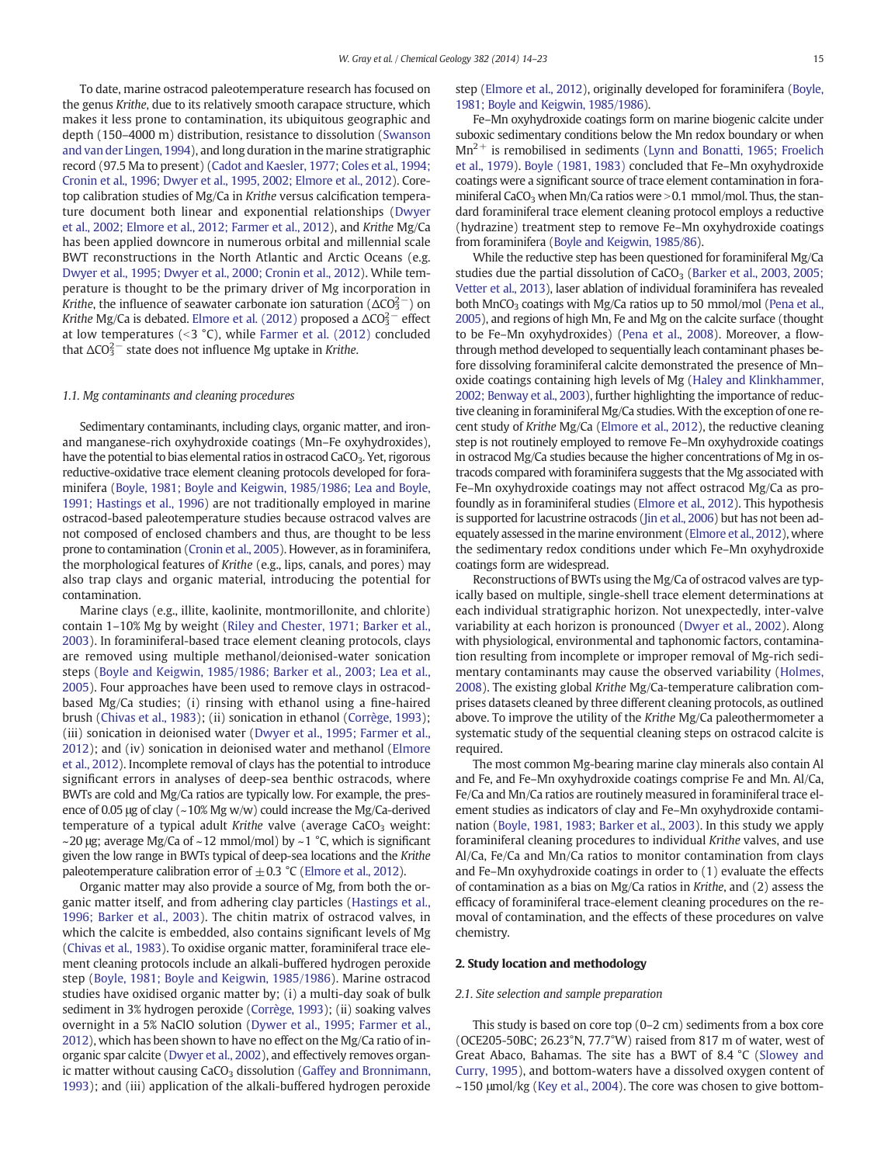To date, marine ostracod paleotemperature research has focused on the genus Krithe, due to its relatively smooth carapace structure, which makes it less prone to contamination, its ubiquitous geographic and depth (150–4000 m) distribution, resistance to dissolution [\(Swanson](#page-9-0) [and van der Lingen, 1994\)](#page-9-0), and long duration in the marine stratigraphic record (97.5 Ma to present) [\(Cadot and Kaesler, 1977; Coles et al., 1994;](#page-8-0) [Cronin et al., 1996; Dwyer et al., 1995, 2002; Elmore et al., 2012](#page-8-0)). Coretop calibration studies of Mg/Ca in Krithe versus calcification temperature document both linear and exponential relationships [\(Dwyer](#page-8-0) [et al., 2002; Elmore et al., 2012; Farmer et al., 2012\)](#page-8-0), and Krithe Mg/Ca has been applied downcore in numerous orbital and millennial scale BWT reconstructions in the North Atlantic and Arctic Oceans (e.g. [Dwyer et al., 1995; Dwyer et al., 2000; Cronin et al., 2012](#page-8-0)). While temperature is thought to be the primary driver of Mg incorporation in Krithe, the influence of seawater carbonate ion saturation ( $\Delta \text{CO}_3^{2-}$ ) on Krithe Mg/Ca is debated. [Elmore et al. \(2012\)](#page-8-0) proposed a  $\Delta \text{CO}_3^{2-}$  effect at low temperatures ( $<$ 3 °C), while [Farmer et al. \(2012\)](#page-8-0) concluded that  $\Delta CO_3^{2-}$  state does not influence Mg uptake in Krithe.

#### 1.1. Mg contaminants and cleaning procedures

Sedimentary contaminants, including clays, organic matter, and ironand manganese-rich oxyhydroxide coatings (Mn–Fe oxyhydroxides), have the potential to bias elemental ratios in ostracod  $CaCO<sub>3</sub>$ . Yet, rigorous reductive-oxidative trace element cleaning protocols developed for foraminifera ([Boyle, 1981; Boyle and Keigwin, 1985/1986; Lea and Boyle,](#page-8-0) [1991; Hastings et al., 1996](#page-8-0)) are not traditionally employed in marine ostracod-based paleotemperature studies because ostracod valves are not composed of enclosed chambers and thus, are thought to be less prone to contamination ([Cronin et al., 2005](#page-8-0)). However, as in foraminifera, the morphological features of Krithe (e.g., lips, canals, and pores) may also trap clays and organic material, introducing the potential for contamination.

Marine clays (e.g., illite, kaolinite, montmorillonite, and chlorite) contain 1–10% Mg by weight [\(Riley and Chester, 1971; Barker et al.,](#page-9-0) [2003\)](#page-9-0). In foraminiferal-based trace element cleaning protocols, clays are removed using multiple methanol/deionised-water sonication steps ([Boyle and Keigwin, 1985/1986; Barker et al., 2003; Lea et al.,](#page-8-0) [2005\)](#page-8-0). Four approaches have been used to remove clays in ostracodbased Mg/Ca studies; (i) rinsing with ethanol using a fine-haired brush ([Chivas et al., 1983\)](#page-8-0); (ii) sonication in ethanol [\(Corrège, 1993](#page-8-0)); (iii) sonication in deionised water ([Dwyer et al., 1995; Farmer et al.,](#page-8-0) [2012\)](#page-8-0); and (iv) sonication in deionised water and methanol ([Elmore](#page-8-0) [et al., 2012\)](#page-8-0). Incomplete removal of clays has the potential to introduce significant errors in analyses of deep-sea benthic ostracods, where BWTs are cold and Mg/Ca ratios are typically low. For example, the presence of 0.05 μg of clay (~10% Mg w/w) could increase the Mg/Ca-derived temperature of a typical adult Krithe valve (average  $CaCO<sub>3</sub>$  weight:  $\sim$ 20 μg; average Mg/Ca of  $\sim$  12 mmol/mol) by  $\sim$  1 °C, which is significant given the low range in BWTs typical of deep-sea locations and the Krithe paleotemperature calibration error of  $\pm$  0.3 °C ([Elmore et al., 2012\)](#page-8-0).

Organic matter may also provide a source of Mg, from both the organic matter itself, and from adhering clay particles ([Hastings et al.,](#page-8-0) [1996; Barker et al., 2003](#page-8-0)). The chitin matrix of ostracod valves, in which the calcite is embedded, also contains significant levels of Mg [\(Chivas et al., 1983](#page-8-0)). To oxidise organic matter, foraminiferal trace element cleaning protocols include an alkali-buffered hydrogen peroxide step ([Boyle, 1981; Boyle and Keigwin, 1985/1986\)](#page-8-0). Marine ostracod studies have oxidised organic matter by; (i) a multi-day soak of bulk sediment in 3% hydrogen peroxide [\(Corrège, 1993\)](#page-8-0); (ii) soaking valves overnight in a 5% NaClO solution [\(Dywer et al., 1995; Farmer et al.,](#page-8-0) [2012](#page-8-0)), which has been shown to have no effect on the Mg/Ca ratio of inorganic spar calcite [\(Dwyer et al., 2002](#page-8-0)), and effectively removes organic matter without causing  $CaCO<sub>3</sub>$  dissolution [\(Gaffey and Bronnimann,](#page-8-0) [1993\)](#page-8-0); and (iii) application of the alkali-buffered hydrogen peroxide step [\(Elmore et al., 2012](#page-8-0)), originally developed for foraminifera [\(Boyle,](#page-8-0) [1981; Boyle and Keigwin, 1985/1986\)](#page-8-0).

Fe–Mn oxyhydroxide coatings form on marine biogenic calcite under suboxic sedimentary conditions below the Mn redox boundary or when  $Mn^{2+}$  is remobilised in sediments [\(Lynn and Bonatti, 1965; Froelich](#page-9-0) [et al., 1979\)](#page-9-0). [Boyle \(1981, 1983\)](#page-8-0) concluded that Fe–Mn oxyhydroxide coatings were a significant source of trace element contamination in foraminiferal CaCO<sub>3</sub> when Mn/Ca ratios were  $>$  0.1 mmol/mol. Thus, the standard foraminiferal trace element cleaning protocol employs a reductive (hydrazine) treatment step to remove Fe–Mn oxyhydroxide coatings from foraminifera ([Boyle and Keigwin, 1985/86\)](#page-8-0).

While the reductive step has been questioned for foraminiferal Mg/Ca studies due the partial dissolution of CaCO<sub>3</sub> [\(Barker et al., 2003, 2005;](#page-8-0) [Vetter et al., 2013\)](#page-8-0), laser ablation of individual foraminifera has revealed both MnCO<sub>3</sub> coatings with Mg/Ca ratios up to 50 mmol/mol [\(Pena et al.,](#page-9-0) [2005\)](#page-9-0), and regions of high Mn, Fe and Mg on the calcite surface (thought to be Fe–Mn oxyhydroxides) [\(Pena et al., 2008](#page-9-0)). Moreover, a flowthrough method developed to sequentially leach contaminant phases before dissolving foraminiferal calcite demonstrated the presence of Mn– oxide coatings containing high levels of Mg [\(Haley and Klinkhammer,](#page-8-0) [2002; Benway et al., 2003\)](#page-8-0), further highlighting the importance of reductive cleaning in foraminiferal Mg/Ca studies.With the exception of one recent study of Krithe Mg/Ca ([Elmore et al., 2012\)](#page-8-0), the reductive cleaning step is not routinely employed to remove Fe–Mn oxyhydroxide coatings in ostracod Mg/Ca studies because the higher concentrations of Mg in ostracods compared with foraminifera suggests that the Mg associated with Fe–Mn oxyhydroxide coatings may not affect ostracod Mg/Ca as profoundly as in foraminiferal studies [\(Elmore et al., 2012](#page-8-0)). This hypothesis is supported for lacustrine ostracods [\(Jin et al., 2006](#page-8-0)) but has not been adequately assessed in the marine environment [\(Elmore et al., 2012\)](#page-8-0), where the sedimentary redox conditions under which Fe–Mn oxyhydroxide coatings form are widespread.

Reconstructions of BWTs using the Mg/Ca of ostracod valves are typically based on multiple, single-shell trace element determinations at each individual stratigraphic horizon. Not unexpectedly, inter-valve variability at each horizon is pronounced [\(Dwyer et al., 2002\)](#page-8-0). Along with physiological, environmental and taphonomic factors, contamination resulting from incomplete or improper removal of Mg-rich sedimentary contaminants may cause the observed variability ([Holmes,](#page-8-0) [2008\)](#page-8-0). The existing global Krithe Mg/Ca-temperature calibration comprises datasets cleaned by three different cleaning protocols, as outlined above. To improve the utility of the Krithe Mg/Ca paleothermometer a systematic study of the sequential cleaning steps on ostracod calcite is required.

The most common Mg-bearing marine clay minerals also contain Al and Fe, and Fe–Mn oxyhydroxide coatings comprise Fe and Mn. Al/Ca, Fe/Ca and Mn/Ca ratios are routinely measured in foraminiferal trace element studies as indicators of clay and Fe–Mn oxyhydroxide contamination [\(Boyle, 1981, 1983; Barker et al., 2003\)](#page-8-0). In this study we apply foraminiferal cleaning procedures to individual Krithe valves, and use Al/Ca, Fe/Ca and Mn/Ca ratios to monitor contamination from clays and Fe–Mn oxyhydroxide coatings in order to (1) evaluate the effects of contamination as a bias on Mg/Ca ratios in Krithe, and (2) assess the efficacy of foraminiferal trace-element cleaning procedures on the removal of contamination, and the effects of these procedures on valve chemistry.

#### 2. Study location and methodology

#### 2.1. Site selection and sample preparation

This study is based on core top (0–2 cm) sediments from a box core (OCE205-50BC; 26.23°N, 77.7°W) raised from 817 m of water, west of Great Abaco, Bahamas. The site has a BWT of 8.4 °C ([Slowey and](#page-9-0) [Curry, 1995](#page-9-0)), and bottom-waters have a dissolved oxygen content of  $\sim$ 150 μmol/kg ([Key et al., 2004](#page-8-0)). The core was chosen to give bottom-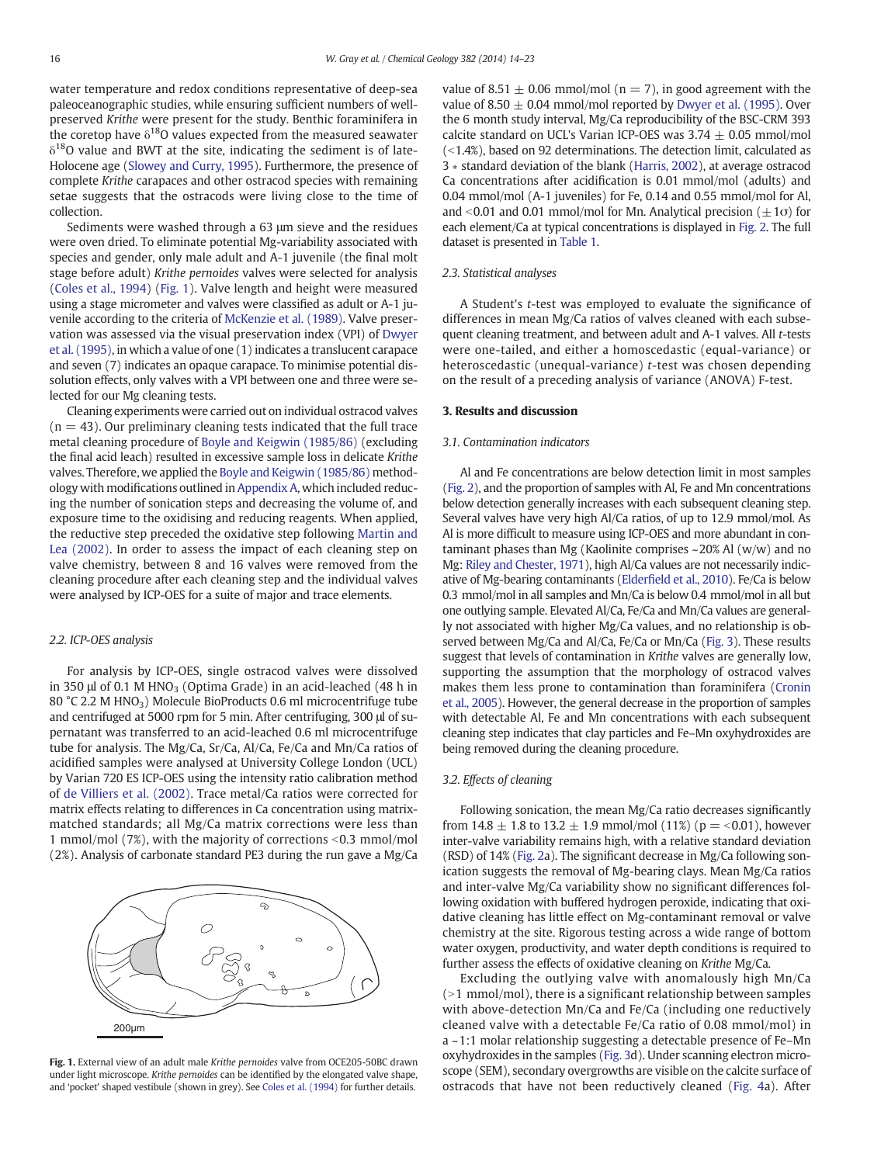water temperature and redox conditions representative of deep-sea paleoceanographic studies, while ensuring sufficient numbers of wellpreserved Krithe were present for the study. Benthic foraminifera in the coretop have  $\delta^{18}$ O values expected from the measured seawater  $\delta^{18}$ O value and BWT at the site, indicating the sediment is of late-Holocene age [\(Slowey and Curry, 1995\)](#page-9-0). Furthermore, the presence of complete Krithe carapaces and other ostracod species with remaining setae suggests that the ostracods were living close to the time of collection.

Sediments were washed through a 63 μm sieve and the residues were oven dried. To eliminate potential Mg-variability associated with species and gender, only male adult and A-1 juvenile (the final molt stage before adult) Krithe pernoides valves were selected for analysis [\(Coles et al., 1994\)](#page-8-0) (Fig. 1). Valve length and height were measured using a stage micrometer and valves were classified as adult or A-1 juvenile according to the criteria of [McKenzie et al. \(1989\).](#page-9-0) Valve preservation was assessed via the visual preservation index (VPI) of [Dwyer](#page-8-0) [et al. \(1995\)](#page-8-0), in which a value of one (1) indicates a translucent carapace and seven (7) indicates an opaque carapace. To minimise potential dissolution effects, only valves with a VPI between one and three were selected for our Mg cleaning tests.

Cleaning experiments were carried out on individual ostracod valves  $(n = 43)$ . Our preliminary cleaning tests indicated that the full trace metal cleaning procedure of [Boyle and Keigwin \(1985/86\)](#page-8-0) (excluding the final acid leach) resulted in excessive sample loss in delicate Krithe valves. Therefore, we applied the [Boyle and Keigwin \(1985/86\)](#page-8-0) methodology with modifications outlined in [Appendix A,](#page-7-0) which included reducing the number of sonication steps and decreasing the volume of, and exposure time to the oxidising and reducing reagents. When applied, the reductive step preceded the oxidative step following [Martin and](#page-9-0) [Lea \(2002\).](#page-9-0) In order to assess the impact of each cleaning step on valve chemistry, between 8 and 16 valves were removed from the cleaning procedure after each cleaning step and the individual valves were analysed by ICP-OES for a suite of major and trace elements.

#### 2.2. ICP-OES analysis

For analysis by ICP-OES, single ostracod valves were dissolved in 350  $\mu$ l of 0.1 M HNO<sub>3</sub> (Optima Grade) in an acid-leached (48 h in 80 °C 2.2 M HNO<sub>3</sub>) Molecule BioProducts 0.6 ml microcentrifuge tube and centrifuged at 5000 rpm for 5 min. After centrifuging, 300 μl of supernatant was transferred to an acid-leached 0.6 ml microcentrifuge tube for analysis. The Mg/Ca, Sr/Ca, Al/Ca, Fe/Ca and Mn/Ca ratios of acidified samples were analysed at University College London (UCL) by Varian 720 ES ICP-OES using the intensity ratio calibration method of [de Villiers et al. \(2002\).](#page-8-0) Trace metal/Ca ratios were corrected for matrix effects relating to differences in Ca concentration using matrixmatched standards; all Mg/Ca matrix corrections were less than 1 mmol/mol (7%), with the majority of corrections <0.3 mmol/mol (2%). Analysis of carbonate standard PE3 during the run gave a Mg/Ca



Fig. 1. External view of an adult male Krithe pernoides valve from OCE205-50BC drawn under light microscope. Krithe pernoides can be identified by the elongated valve shape, and 'pocket' shaped vestibule (shown in grey). See [Coles et al. \(1994\)](#page-8-0) for further details.

value of 8.51  $\pm$  0.06 mmol/mol (n = 7), in good agreement with the value of  $8.50 \pm 0.04$  mmol/mol reported by [Dwyer et al. \(1995\).](#page-8-0) Over the 6 month study interval, Mg/Ca reproducibility of the BSC-CRM 393 calcite standard on UCL's Varian ICP-OES was  $3.74 \pm 0.05$  mmol/mol  $(-1.4%)$ , based on 92 determinations. The detection limit, calculated as 3 ∗ standard deviation of the blank [\(Harris, 2002\)](#page-8-0), at average ostracod Ca concentrations after acidification is 0.01 mmol/mol (adults) and 0.04 mmol/mol (A-1 juveniles) for Fe, 0.14 and 0.55 mmol/mol for Al, and <0.01 and 0.01 mmol/mol for Mn. Analytical precision ( $\pm 1\sigma$ ) for each element/Ca at typical concentrations is displayed in [Fig. 2](#page-3-0). The full dataset is presented in [Table 1.](#page-4-0)

#### 2.3. Statistical analyses

A Student's t-test was employed to evaluate the significance of differences in mean Mg/Ca ratios of valves cleaned with each subsequent cleaning treatment, and between adult and A-1 valves. All t-tests were one-tailed, and either a homoscedastic (equal-variance) or heteroscedastic (unequal-variance) t-test was chosen depending on the result of a preceding analysis of variance (ANOVA) F-test.

# 3. Results and discussion

#### 3.1. Contamination indicators

Al and Fe concentrations are below detection limit in most samples [\(Fig. 2\)](#page-3-0), and the proportion of samples with Al, Fe and Mn concentrations below detection generally increases with each subsequent cleaning step. Several valves have very high Al/Ca ratios, of up to 12.9 mmol/mol. As Al is more difficult to measure using ICP-OES and more abundant in contaminant phases than Mg (Kaolinite comprises ~20% Al (w/w) and no Mg: [Riley and Chester, 1971](#page-9-0)), high Al/Ca values are not necessarily indicative of Mg-bearing contaminants (Elderfi[eld et al., 2010](#page-8-0)). Fe/Ca is below 0.3 mmol/mol in all samples and Mn/Ca is below 0.4 mmol/mol in all but one outlying sample. Elevated Al/Ca, Fe/Ca and Mn/Ca values are generally not associated with higher Mg/Ca values, and no relationship is observed between Mg/Ca and Al/Ca, Fe/Ca or Mn/Ca [\(Fig. 3\)](#page-5-0). These results suggest that levels of contamination in Krithe valves are generally low, supporting the assumption that the morphology of ostracod valves makes them less prone to contamination than foraminifera ([Cronin](#page-8-0) [et al., 2005](#page-8-0)). However, the general decrease in the proportion of samples with detectable Al, Fe and Mn concentrations with each subsequent cleaning step indicates that clay particles and Fe–Mn oxyhydroxides are being removed during the cleaning procedure.

# 3.2. Effects of cleaning

Following sonication, the mean Mg/Ca ratio decreases significantly from 14.8  $\pm$  1.8 to 13.2  $\pm$  1.9 mmol/mol (11%) (p = <0.01), however inter-valve variability remains high, with a relative standard deviation (RSD) of 14% ([Fig. 2a](#page-3-0)). The significant decrease in Mg/Ca following sonication suggests the removal of Mg-bearing clays. Mean Mg/Ca ratios and inter-valve Mg/Ca variability show no significant differences following oxidation with buffered hydrogen peroxide, indicating that oxidative cleaning has little effect on Mg-contaminant removal or valve chemistry at the site. Rigorous testing across a wide range of bottom water oxygen, productivity, and water depth conditions is required to further assess the effects of oxidative cleaning on Krithe Mg/Ca.

Excluding the outlying valve with anomalously high Mn/Ca  $(>1$  mmol/mol), there is a significant relationship between samples with above-detection Mn/Ca and Fe/Ca (including one reductively cleaned valve with a detectable Fe/Ca ratio of 0.08 mmol/mol) in a ~1:1 molar relationship suggesting a detectable presence of Fe–Mn oxyhydroxides in the samples ([Fig. 3d](#page-5-0)). Under scanning electron microscope (SEM), secondary overgrowths are visible on the calcite surface of ostracods that have not been reductively cleaned ([Fig. 4](#page-6-0)a). After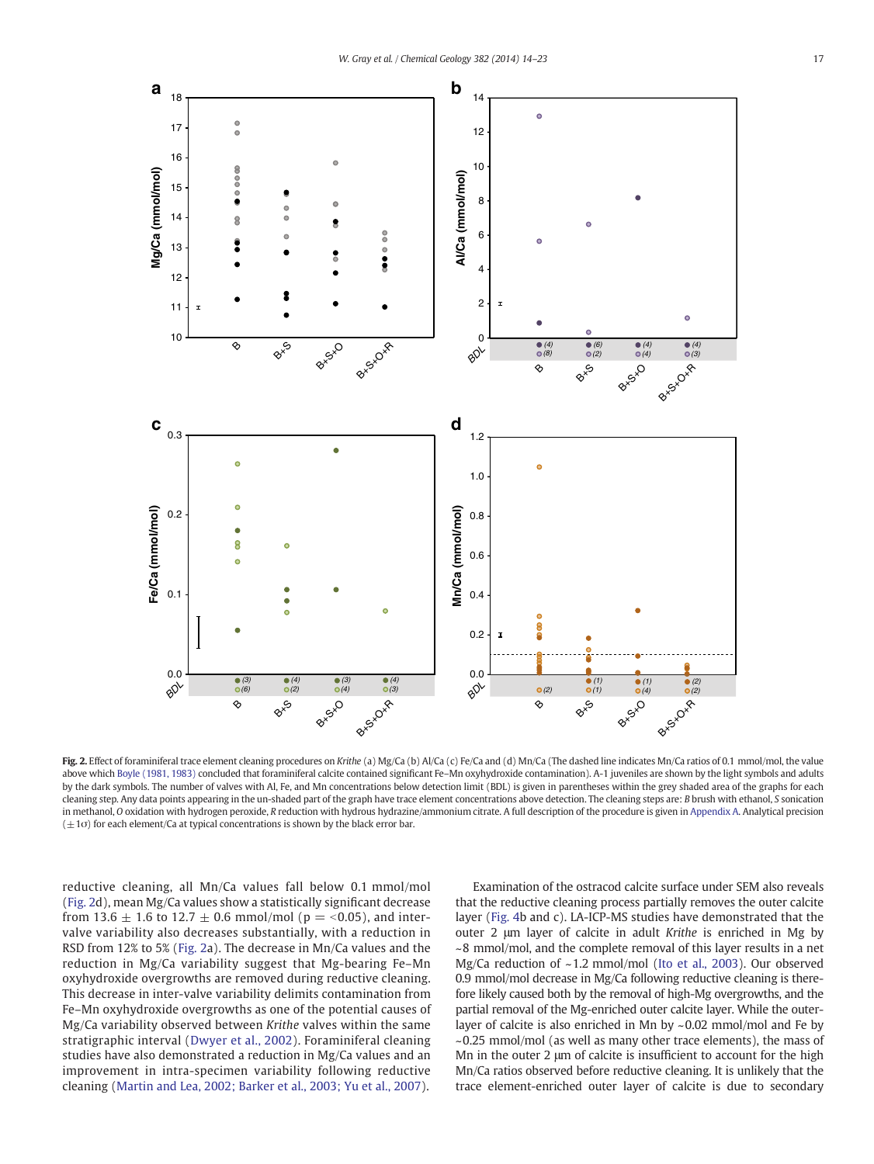<span id="page-3-0"></span>

Fig. 2. Effect of foraminiferal trace element cleaning procedures on Krithe (a) Mg/Ca (b) Al/Ca (c) Fe/Ca and (d) Mn/Ca (The dashed line indicates Mn/Ca ratios of 0.1 mmol/mol, the value above which [Boyle \(1981, 1983\)](#page-8-0) concluded that foraminiferal calcite contained significant Fe-Mn oxyhydroxide contamination). A-1 juveniles are shown by the light symbols and adults by the dark symbols. The number of valves with Al, Fe, and Mn concentrations below detection limit (BDL) is given in parentheses within the grey shaded area of the graphs for each cleaning step. Any data points appearing in the un-shaded part of the graph have trace element concentrations above detection. The cleaning steps are: B brush with ethanol, S sonication in methanol, O oxidation with hydrogen peroxide, R reduction with hydrous hydrazine/ammonium citrate. A full description of the procedure is given in [Appendix A](#page-7-0). Analytical precision  $(\pm 1\sigma)$  for each element/Ca at typical concentrations is shown by the black error bar.

reductive cleaning, all Mn/Ca values fall below 0.1 mmol/mol (Fig. 2d), mean Mg/Ca values show a statistically significant decrease from 13.6  $\pm$  1.6 to 12.7  $\pm$  0.6 mmol/mol (p = <0.05), and intervalve variability also decreases substantially, with a reduction in RSD from 12% to 5% (Fig. 2a). The decrease in Mn/Ca values and the reduction in Mg/Ca variability suggest that Mg-bearing Fe–Mn oxyhydroxide overgrowths are removed during reductive cleaning. This decrease in inter-valve variability delimits contamination from Fe–Mn oxyhydroxide overgrowths as one of the potential causes of Mg/Ca variability observed between Krithe valves within the same stratigraphic interval ([Dwyer et al., 2002](#page-8-0)). Foraminiferal cleaning studies have also demonstrated a reduction in Mg/Ca values and an improvement in intra-specimen variability following reductive cleaning [\(Martin and Lea, 2002; Barker et al., 2003; Yu et al., 2007](#page-9-0)).

Examination of the ostracod calcite surface under SEM also reveals that the reductive cleaning process partially removes the outer calcite layer ([Fig. 4](#page-6-0)b and c). LA-ICP-MS studies have demonstrated that the outer 2 μm layer of calcite in adult Krithe is enriched in Mg by ~8 mmol/mol, and the complete removal of this layer results in a net Mg/Ca reduction of ~1.2 mmol/mol ([Ito et al., 2003](#page-8-0)). Our observed 0.9 mmol/mol decrease in Mg/Ca following reductive cleaning is therefore likely caused both by the removal of high-Mg overgrowths, and the partial removal of the Mg-enriched outer calcite layer. While the outerlayer of calcite is also enriched in Mn by ~0.02 mmol/mol and Fe by  $\sim$ 0.25 mmol/mol (as well as many other trace elements), the mass of Mn in the outer 2 μm of calcite is insufficient to account for the high Mn/Ca ratios observed before reductive cleaning. It is unlikely that the trace element-enriched outer layer of calcite is due to secondary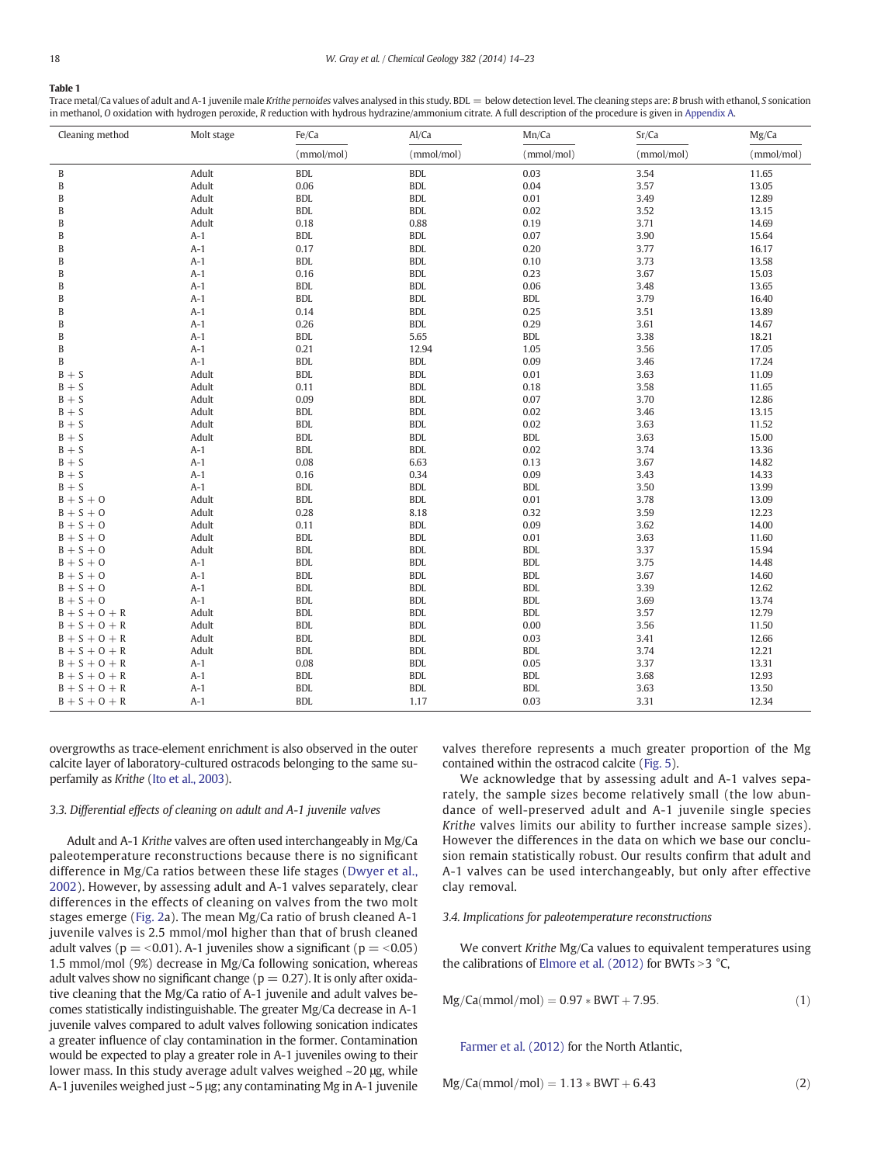## <span id="page-4-0"></span>Table 1

Trace metal/Ca values of adult and A-1 juvenile male Krithe pernoides valves analysed in this study. BDL = below detection level. The cleaning steps are: B brush with ethanol, S sonication in methanol, O oxidation with hydrogen peroxide, R reduction with hydrous hydrazine/ammonium citrate. A full description of the procedure is given in [Appendix A](#page-7-0).

| Cleaning method         | Molt stage | Fe/Ca      | Al/Ca      | Mn/Ca      | Sr/Ca      | Mg/Ca      |
|-------------------------|------------|------------|------------|------------|------------|------------|
|                         |            | (mmol/mol) | (mmol/mol) | (mmol/mol) | (mmol/mol) | (mmol/mol) |
| B                       | Adult      | <b>BDL</b> | <b>BDL</b> | 0.03       | 3.54       | 11.65      |
| $\, {\bf B}$            | Adult      | 0.06       | <b>BDL</b> | 0.04       | 3.57       | 13.05      |
| B                       | Adult      | <b>BDL</b> | <b>BDL</b> | 0.01       | 3.49       | 12.89      |
| B                       | Adult      | <b>BDL</b> | <b>BDL</b> | 0.02       | 3.52       | 13.15      |
| B                       | Adult      | 0.18       | 0.88       | 0.19       | 3.71       | 14.69      |
| B                       | $A-1$      | <b>BDL</b> | <b>BDL</b> | 0.07       | 3.90       | 15.64      |
| B                       | $A-1$      | 0.17       | <b>BDL</b> | 0.20       | 3.77       | 16.17      |
| B                       | $A-1$      | <b>BDL</b> | <b>BDL</b> | 0.10       | 3.73       | 13.58      |
| B                       | $A-1$      | 0.16       | <b>BDL</b> | 0.23       | 3.67       | 15.03      |
| B                       | $A-1$      | <b>BDL</b> | <b>BDL</b> | 0.06       | 3.48       | 13.65      |
| B                       | $A-1$      | <b>BDL</b> | <b>BDL</b> | <b>BDL</b> | 3.79       | 16.40      |
| B                       | $A-1$      | 0.14       | <b>BDL</b> | 0.25       | 3.51       | 13.89      |
| B                       | $A-1$      | 0.26       | <b>BDL</b> | 0.29       | 3.61       | 14.67      |
| B                       | $A-1$      | <b>BDL</b> | 5.65       | <b>BDL</b> | 3.38       | 18.21      |
| B                       | $A-1$      | 0.21       | 12.94      | 1.05       | 3.56       | 17.05      |
| B                       | $A-1$      | <b>BDL</b> | <b>BDL</b> | 0.09       | 3.46       | 17.24      |
| $B + S$                 | Adult      | <b>BDL</b> | <b>BDL</b> | 0.01       | 3.63       | 11.09      |
| $B + S$                 | Adult      | 0.11       | <b>BDL</b> | 0.18       | 3.58       | 11.65      |
| $B + S$                 | Adult      | 0.09       | <b>BDL</b> | 0.07       | 3.70       | 12.86      |
| $\mathbf{B}+\mathbf{S}$ | Adult      | <b>BDL</b> | <b>BDL</b> | 0.02       | 3.46       | 13.15      |
| $B + S$                 | Adult      | <b>BDL</b> | <b>BDL</b> | 0.02       | 3.63       | 11.52      |
| $B + S$                 | Adult      | <b>BDL</b> | <b>BDL</b> | <b>BDL</b> | 3.63       | 15.00      |
| $B + S$                 | $A-1$      | <b>BDL</b> | <b>BDL</b> | 0.02       | 3.74       | 13.36      |
| $B + S$                 | $A-1$      | 0.08       | 6.63       | 0.13       | 3.67       | 14.82      |
| $B + S$                 | $A-1$      | 0.16       | 0.34       | 0.09       | 3.43       | 14.33      |
| $B + S$                 | $A-1$      | <b>BDL</b> | <b>BDL</b> | <b>BDL</b> | 3.50       | 13.99      |
| $B + S + O$             | Adult      | <b>BDL</b> | <b>BDL</b> | 0.01       | 3.78       | 13.09      |
| $B + S + O$             | Adult      | 0.28       | 8.18       | 0.32       | 3.59       | 12.23      |
| $B + S + O$             | Adult      | 0.11       | <b>BDL</b> | 0.09       | 3.62       | 14.00      |
| $B + S + O$             | Adult      | <b>BDL</b> | <b>BDL</b> | 0.01       | 3.63       | 11.60      |
| $B + S + O$             | Adult      | <b>BDL</b> | <b>BDL</b> | <b>BDL</b> | 3.37       | 15.94      |
| $B + S + O$             | $A-1$      | <b>BDL</b> | <b>BDL</b> | <b>BDL</b> | 3.75       | 14.48      |
| $B + S + O$             | $A-1$      | <b>BDL</b> | <b>BDL</b> | <b>BDL</b> | 3.67       | 14.60      |
| $B + S + O$             | $A-1$      | <b>BDL</b> | <b>BDL</b> | <b>BDL</b> | 3.39       | 12.62      |
| $B + S + O$             | $A-1$      | <b>BDL</b> | <b>BDL</b> | <b>BDL</b> | 3.69       | 13.74      |
| $B + S + O + R$         | Adult      | <b>BDL</b> | <b>BDL</b> | <b>BDL</b> | 3.57       | 12.79      |
| $B + S + O + R$         | Adult      | <b>BDL</b> | <b>BDL</b> | 0.00       | 3.56       | 11.50      |
| $B + S + O + R$         | Adult      | <b>BDL</b> | <b>BDL</b> | 0.03       | 3.41       | 12.66      |
| $B + S + O + R$         | Adult      | <b>BDL</b> | <b>BDL</b> | <b>BDL</b> | 3.74       | 12.21      |
| $B + S + O + R$         | $A-1$      | 0.08       | <b>BDL</b> | 0.05       | 3.37       | 13.31      |
| $B + S + O + R$         | $A-1$      | <b>BDL</b> | <b>BDL</b> | <b>BDL</b> | 3.68       | 12.93      |
| $B + S + O + R$         | $A-1$      | <b>BDL</b> | <b>BDL</b> | <b>BDL</b> | 3.63       | 13.50      |
| $B + S + O + R$         | $A-1$      | <b>BDL</b> | 1.17       | 0.03       | 3.31       | 12.34      |

overgrowths as trace-element enrichment is also observed in the outer calcite layer of laboratory-cultured ostracods belonging to the same superfamily as Krithe [\(Ito et al., 2003\)](#page-8-0).

#### 3.3. Differential effects of cleaning on adult and A-1 juvenile valves

Adult and A-1 Krithe valves are often used interchangeably in Mg/Ca paleotemperature reconstructions because there is no significant difference in Mg/Ca ratios between these life stages ([Dwyer et al.,](#page-8-0) [2002](#page-8-0)). However, by assessing adult and A-1 valves separately, clear differences in the effects of cleaning on valves from the two molt stages emerge [\(Fig. 2](#page-3-0)a). The mean Mg/Ca ratio of brush cleaned A-1 juvenile valves is 2.5 mmol/mol higher than that of brush cleaned adult valves ( $p = < 0.01$ ). A-1 juveniles show a significant ( $p = < 0.05$ ) 1.5 mmol/mol (9%) decrease in Mg/Ca following sonication, whereas adult valves show no significant change ( $p = 0.27$ ). It is only after oxidative cleaning that the Mg/Ca ratio of A-1 juvenile and adult valves becomes statistically indistinguishable. The greater Mg/Ca decrease in A-1 juvenile valves compared to adult valves following sonication indicates a greater influence of clay contamination in the former. Contamination would be expected to play a greater role in A-1 juveniles owing to their lower mass. In this study average adult valves weighed ~20 μg, while A-1 juveniles weighed just ~5 μg; any contaminating Mg in A-1 juvenile valves therefore represents a much greater proportion of the Mg contained within the ostracod calcite ([Fig. 5\)](#page-6-0).

We acknowledge that by assessing adult and A-1 valves separately, the sample sizes become relatively small (the low abundance of well-preserved adult and A-1 juvenile single species Krithe valves limits our ability to further increase sample sizes). However the differences in the data on which we base our conclusion remain statistically robust. Our results confirm that adult and A-1 valves can be used interchangeably, but only after effective clay removal.

# 3.4. Implications for paleotemperature reconstructions

We convert Krithe Mg/Ca values to equivalent temperatures using the calibrations of [Elmore et al. \(2012\)](#page-8-0) for BWTs  $>$  3 °C,

$$
Mg/Ca(mmol/mol) = 0.97 * BWT + 7.95.
$$
 (1)

[Farmer et al. \(2012\)](#page-8-0) for the North Atlantic,

$$
Mg/Ca(mmol/mol) = 1.13 * BWT + 6.43
$$
 (2)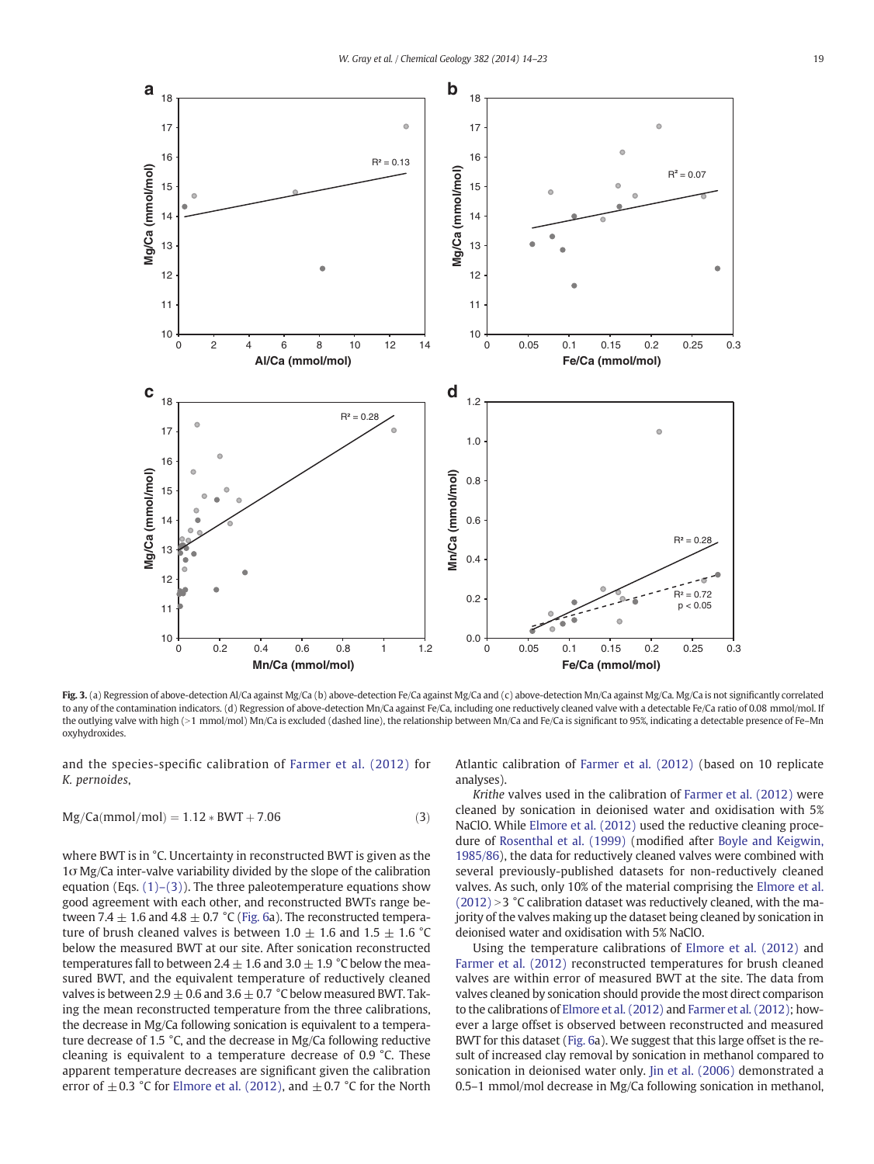<span id="page-5-0"></span>

Fig. 3. (a) Regression of above-detection Al/Ca against Mg/Ca (b) above-detection Fe/Ca against Mg/Ca and (c) above-detection Mn/Ca against Mg/Ca. Mg/Ca is not significantly correlated to any of the contamination indicators. (d) Regression of above-detection Mn/Ca against Fe/Ca, including one reductively cleaned valve with a detectable Fe/Ca ratio of 0.08 mmol/mol. If the outlying valve with high (>1 mmol/mol) Mn/Ca is excluded (dashed line), the relationship between Mn/Ca and Fe/Ca is significant to 95%, indicating a detectable presence of Fe-Mn oxyhydroxides.

and the species-specific calibration of [Farmer et al. \(2012\)](#page-8-0) for K. pernoides,

$$
Mg/Ca(mmol/mol) = 1.12 * BWT + 7.06
$$
 (3)

where BWT is in °C. Uncertainty in reconstructed BWT is given as the 1σ Mg/Ca inter-valve variability divided by the slope of the calibration equation (Eqs.  $(1)-(3)$ ). The three paleotemperature equations show good agreement with each other, and reconstructed BWTs range between 7.4  $\pm$  1.6 and 4.8  $\pm$  0.7 °C [\(Fig. 6](#page-7-0)a). The reconstructed temperature of brush cleaned valves is between 1.0  $\pm$  1.6 and 1.5  $\pm$  1.6 °C below the measured BWT at our site. After sonication reconstructed temperatures fall to between 2.4  $\pm$  1.6 and 3.0  $\pm$  1.9 °C below the measured BWT, and the equivalent temperature of reductively cleaned valves is between 2.9  $\pm$  0.6 and 3.6  $\pm$  0.7 °C below measured BWT. Taking the mean reconstructed temperature from the three calibrations, the decrease in Mg/Ca following sonication is equivalent to a temperature decrease of 1.5 °C, and the decrease in Mg/Ca following reductive cleaning is equivalent to a temperature decrease of 0.9 °C. These apparent temperature decreases are significant given the calibration error of  $\pm$  0.3 °C for [Elmore et al. \(2012\)](#page-8-0), and  $\pm$  0.7 °C for the North Atlantic calibration of [Farmer et al. \(2012\)](#page-8-0) (based on 10 replicate analyses).

Krithe valves used in the calibration of [Farmer et al. \(2012\)](#page-8-0) were cleaned by sonication in deionised water and oxidisation with 5% NaClO. While [Elmore et al. \(2012\)](#page-8-0) used the reductive cleaning procedure of [Rosenthal et al. \(1999\)](#page-9-0) (modified after [Boyle and Keigwin,](#page-8-0) [1985/86](#page-8-0)), the data for reductively cleaned valves were combined with several previously-published datasets for non-reductively cleaned valves. As such, only 10% of the material comprising the [Elmore et al.](#page-8-0)  $(2012) > 3$  $(2012) > 3$  °C calibration dataset was reductively cleaned, with the majority of the valves making up the dataset being cleaned by sonication in deionised water and oxidisation with 5% NaClO.

Using the temperature calibrations of [Elmore et al. \(2012\)](#page-8-0) and [Farmer et al. \(2012\)](#page-8-0) reconstructed temperatures for brush cleaned valves are within error of measured BWT at the site. The data from valves cleaned by sonication should provide the most direct comparison to the calibrations of [Elmore et al. \(2012\)](#page-8-0) and [Farmer et al. \(2012\)](#page-8-0); however a large offset is observed between reconstructed and measured BWT for this dataset [\(Fig. 6](#page-7-0)a). We suggest that this large offset is the result of increased clay removal by sonication in methanol compared to sonication in deionised water only. [Jin et al. \(2006\)](#page-8-0) demonstrated a 0.5–1 mmol/mol decrease in Mg/Ca following sonication in methanol,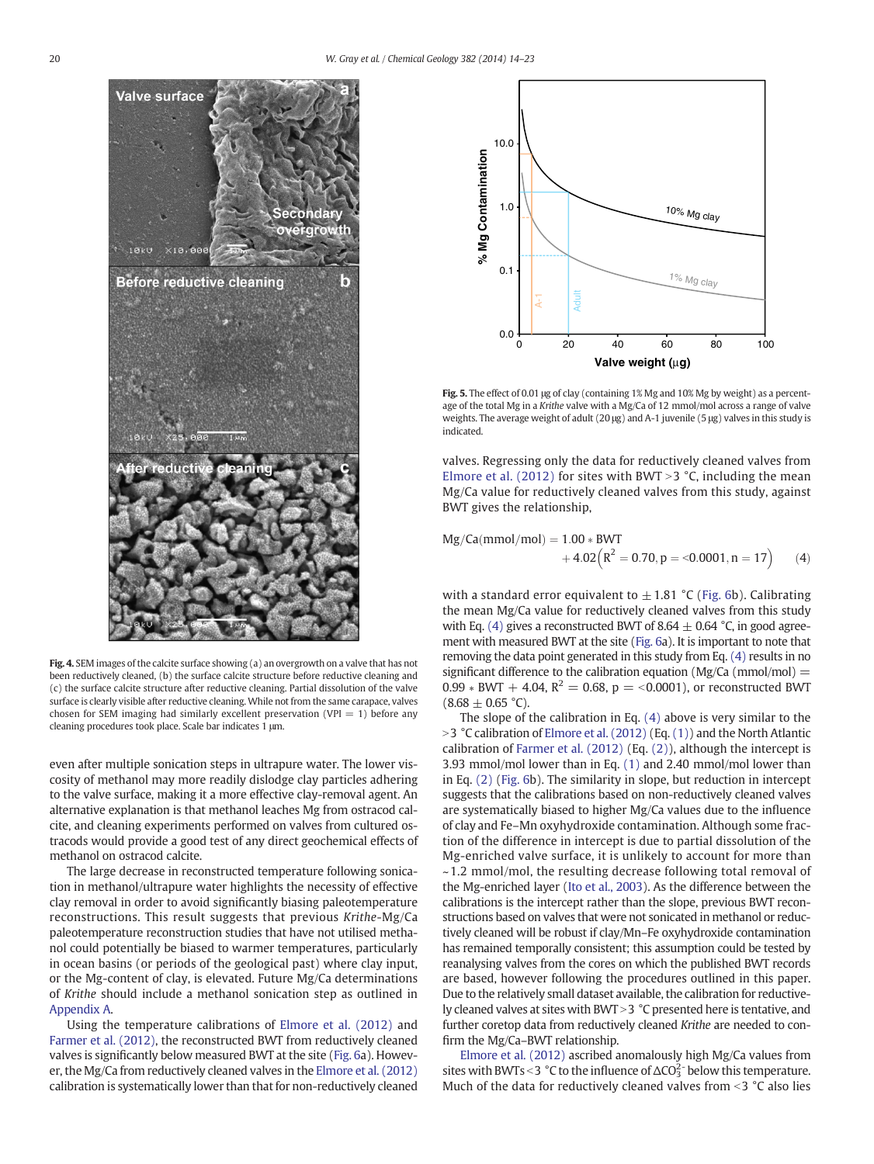<span id="page-6-0"></span>

Fig. 4. SEM images of the calcite surface showing (a) an overgrowth on a valve that has not been reductively cleaned, (b) the surface calcite structure before reductive cleaning and (c) the surface calcite structure after reductive cleaning. Partial dissolution of the valve surface is clearly visible after reductive cleaning. While not from the same carapace, valves chosen for SEM imaging had similarly excellent preservation (VPI  $= 1$ ) before any cleaning procedures took place. Scale bar indicates 1 μm.

even after multiple sonication steps in ultrapure water. The lower viscosity of methanol may more readily dislodge clay particles adhering to the valve surface, making it a more effective clay-removal agent. An alternative explanation is that methanol leaches Mg from ostracod calcite, and cleaning experiments performed on valves from cultured ostracods would provide a good test of any direct geochemical effects of methanol on ostracod calcite.

The large decrease in reconstructed temperature following sonication in methanol/ultrapure water highlights the necessity of effective clay removal in order to avoid significantly biasing paleotemperature reconstructions. This result suggests that previous Krithe-Mg/Ca paleotemperature reconstruction studies that have not utilised methanol could potentially be biased to warmer temperatures, particularly in ocean basins (or periods of the geological past) where clay input, or the Mg-content of clay, is elevated. Future Mg/Ca determinations of Krithe should include a methanol sonication step as outlined in [Appendix A](#page-7-0).

Using the temperature calibrations of [Elmore et al. \(2012\)](#page-8-0) and [Farmer et al. \(2012\),](#page-8-0) the reconstructed BWT from reductively cleaned valves is significantly below measured BWT at the site ([Fig. 6a](#page-7-0)). However, the Mg/Ca from reductively cleaned valves in the [Elmore et al. \(2012\)](#page-8-0) calibration is systematically lower than that for non-reductively cleaned



Fig. 5. The effect of 0.01 μg of clay (containing 1% Mg and 10% Mg by weight) as a percentage of the total Mg in a Krithe valve with a Mg/Ca of 12 mmol/mol across a range of valve weights. The average weight of adult (20 μg) and A-1 juvenile (5 μg) valves in this study is indicated.

valves. Regressing only the data for reductively cleaned valves from [Elmore et al. \(2012\)](#page-8-0) for sites with BWT > 3  $°C$ , including the mean Mg/Ca value for reductively cleaned valves from this study, against BWT gives the relationship,

$$
Mg/Ca(mmol/mol) = 1.00 * BWT + 4.02(R2 = 0.70, p = <0.0001, n = 17)
$$
 (4)

with a standard error equivalent to  $\pm$  1.81 °C ([Fig. 6b](#page-7-0)). Calibrating the mean Mg/Ca value for reductively cleaned valves from this study with Eq. (4) gives a reconstructed BWT of 8.64  $\pm$  0.64 °C, in good agreement with measured BWT at the site [\(Fig. 6](#page-7-0)a). It is important to note that removing the data point generated in this study from Eq. (4) results in no significant difference to the calibration equation ( $Mg/Ca$  ( $mmol/mol$ ) = 0.99  $*$  BWT + 4.04, R<sup>2</sup> = 0.68, p = <0.0001), or reconstructed BWT  $(8.68 \pm 0.65 \degree C)$ .

The slope of the calibration in Eq. (4) above is very similar to the  $>$ 3 °C calibration of [Elmore et al. \(2012\)](#page-8-0) (Eq. [\(1\)\)](#page-4-0) and the North Atlantic calibration of [Farmer et al. \(2012\)](#page-8-0) (Eq. [\(2\)\)](#page-4-0), although the intercept is 3.93 mmol/mol lower than in Eq. [\(1\)](#page-4-0) and 2.40 mmol/mol lower than in Eq. [\(2\)](#page-4-0) ([Fig. 6](#page-7-0)b). The similarity in slope, but reduction in intercept suggests that the calibrations based on non-reductively cleaned valves are systematically biased to higher Mg/Ca values due to the influence of clay and Fe–Mn oxyhydroxide contamination. Although some fraction of the difference in intercept is due to partial dissolution of the Mg-enriched valve surface, it is unlikely to account for more than ~1.2 mmol/mol, the resulting decrease following total removal of the Mg-enriched layer [\(Ito et al., 2003](#page-8-0)). As the difference between the calibrations is the intercept rather than the slope, previous BWT reconstructions based on valves that were not sonicated in methanol or reductively cleaned will be robust if clay/Mn–Fe oxyhydroxide contamination has remained temporally consistent; this assumption could be tested by reanalysing valves from the cores on which the published BWT records are based, however following the procedures outlined in this paper. Due to the relatively small dataset available, the calibration for reductively cleaned valves at sites with BWT  $>$  3  $\degree$ C presented here is tentative, and further coretop data from reductively cleaned Krithe are needed to confirm the Mg/Ca–BWT relationship.

[Elmore et al. \(2012\)](#page-8-0) ascribed anomalously high Mg/Ca values from sites with BWTs < 3 °C to the influence of  $\Delta CO_3^2$  below this temperature. Much of the data for reductively cleaned valves from  $\leq$  3 °C also lies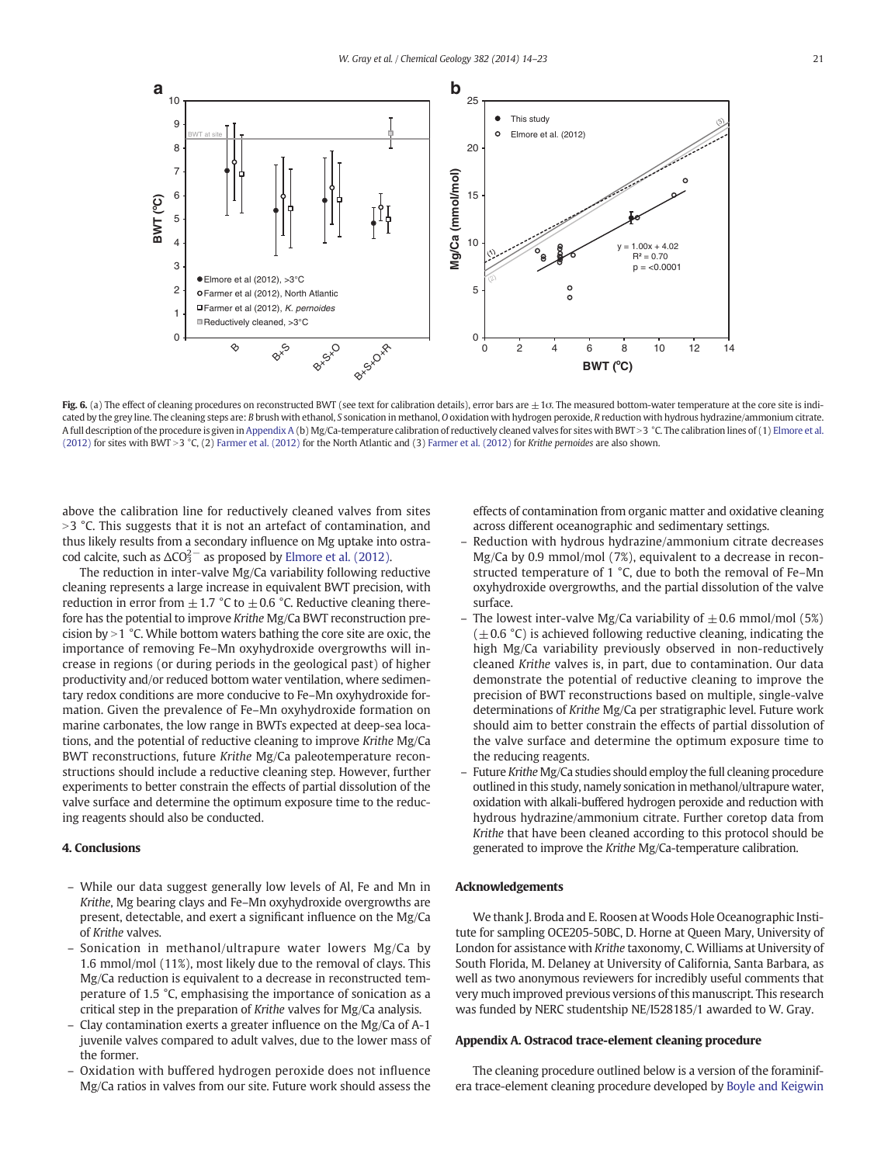<span id="page-7-0"></span>

Fig. 6. (a) The effect of cleaning procedures on reconstructed BWT (see text for calibration details), error bars are  $\pm$  10. The measured bottom-water temperature at the core site is indicated by the grey line. The cleaning steps are: B brush with ethanol, S sonication in methanol, O oxidation with hydrogen peroxide, R reduction with hydrous hydrazine/ammonium citrate. A full description of the procedure is given in Appendix A (b) Mg/Ca-temperature calibration of reductively cleaned valves for sites with BWT > 3 °C. The calibration lines of (1) [Elmore et al.](#page-8-0) [\(2012\)](#page-8-0) for sites with BWT > 3 °C, (2) [Farmer et al. \(2012\)](#page-8-0) for the North Atlantic and (3) Farmer et al. (2012) for Krithe pernoides are also shown.

above the calibration line for reductively cleaned valves from sites  $>$ 3 °C. This suggests that it is not an artefact of contamination, and thus likely results from a secondary influence on Mg uptake into ostracod calcite, such as  $\Delta CO_3^{2-}$  as proposed by [Elmore et al. \(2012\).](#page-8-0)

The reduction in inter-valve Mg/Ca variability following reductive cleaning represents a large increase in equivalent BWT precision, with reduction in error from  $\pm$  1.7 °C to  $\pm$  0.6 °C. Reductive cleaning therefore has the potential to improve Krithe Mg/Ca BWT reconstruction precision by  $>1$  °C. While bottom waters bathing the core site are oxic, the importance of removing Fe–Mn oxyhydroxide overgrowths will increase in regions (or during periods in the geological past) of higher productivity and/or reduced bottom water ventilation, where sedimentary redox conditions are more conducive to Fe–Mn oxyhydroxide formation. Given the prevalence of Fe–Mn oxyhydroxide formation on marine carbonates, the low range in BWTs expected at deep-sea locations, and the potential of reductive cleaning to improve Krithe Mg/Ca BWT reconstructions, future Krithe Mg/Ca paleotemperature reconstructions should include a reductive cleaning step. However, further experiments to better constrain the effects of partial dissolution of the valve surface and determine the optimum exposure time to the reducing reagents should also be conducted.

# 4. Conclusions

- While our data suggest generally low levels of Al, Fe and Mn in Krithe, Mg bearing clays and Fe–Mn oxyhydroxide overgrowths are present, detectable, and exert a significant influence on the Mg/Ca of Krithe valves.
- Sonication in methanol/ultrapure water lowers Mg/Ca by 1.6 mmol/mol (11%), most likely due to the removal of clays. This Mg/Ca reduction is equivalent to a decrease in reconstructed temperature of 1.5 °C, emphasising the importance of sonication as a critical step in the preparation of Krithe valves for Mg/Ca analysis.
- Clay contamination exerts a greater influence on the Mg/Ca of A-1 juvenile valves compared to adult valves, due to the lower mass of the former.
- Oxidation with buffered hydrogen peroxide does not influence Mg/Ca ratios in valves from our site. Future work should assess the

effects of contamination from organic matter and oxidative cleaning across different oceanographic and sedimentary settings.

- Reduction with hydrous hydrazine/ammonium citrate decreases Mg/Ca by 0.9 mmol/mol (7%), equivalent to a decrease in reconstructed temperature of 1 °C, due to both the removal of Fe–Mn oxyhydroxide overgrowths, and the partial dissolution of the valve surface.
- The lowest inter-valve Mg/Ca variability of  $\pm$  0.6 mmol/mol (5%)  $(\pm 0.6 \degree C)$  is achieved following reductive cleaning, indicating the high Mg/Ca variability previously observed in non-reductively cleaned Krithe valves is, in part, due to contamination. Our data demonstrate the potential of reductive cleaning to improve the precision of BWT reconstructions based on multiple, single-valve determinations of Krithe Mg/Ca per stratigraphic level. Future work should aim to better constrain the effects of partial dissolution of the valve surface and determine the optimum exposure time to the reducing reagents.
- Future Krithe Mg/Ca studies should employ the full cleaning procedure outlined in this study, namely sonication in methanol/ultrapure water, oxidation with alkali-buffered hydrogen peroxide and reduction with hydrous hydrazine/ammonium citrate. Further coretop data from Krithe that have been cleaned according to this protocol should be generated to improve the Krithe Mg/Ca-temperature calibration.

#### Acknowledgements

We thank J. Broda and E. Roosen at Woods Hole Oceanographic Institute for sampling OCE205-50BC, D. Horne at Queen Mary, University of London for assistance with Krithe taxonomy, C. Williams at University of South Florida, M. Delaney at University of California, Santa Barbara, as well as two anonymous reviewers for incredibly useful comments that very much improved previous versions of this manuscript. This research was funded by NERC studentship NE/I528185/1 awarded to W. Gray.

### Appendix A. Ostracod trace-element cleaning procedure

The cleaning procedure outlined below is a version of the foraminifera trace-element cleaning procedure developed by [Boyle and Keigwin](#page-8-0)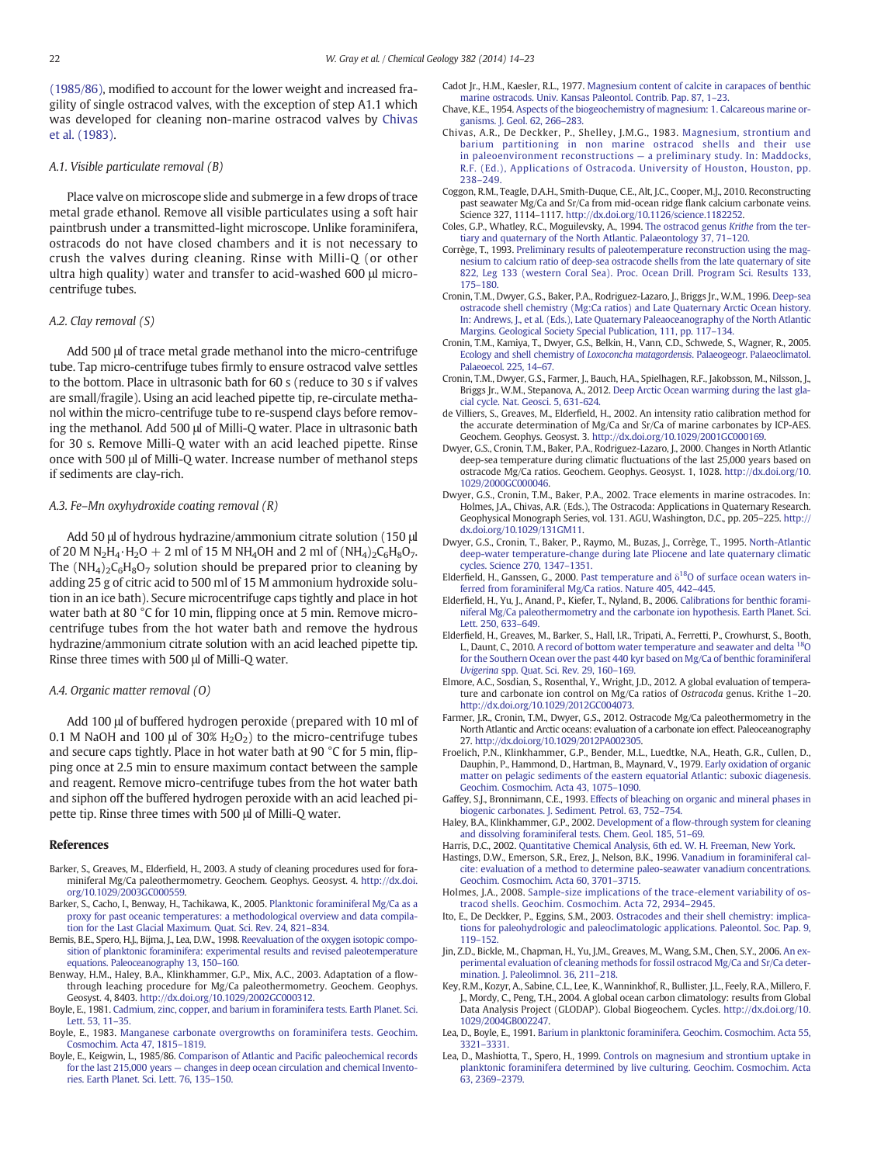<span id="page-8-0"></span>(1985/86), modified to account for the lower weight and increased fragility of single ostracod valves, with the exception of step A1.1 which was developed for cleaning non-marine ostracod valves by Chivas et al. (1983).

#### A.1. Visible particulate removal (B)

Place valve on microscope slide and submerge in a few drops of trace metal grade ethanol. Remove all visible particulates using a soft hair paintbrush under a transmitted-light microscope. Unlike foraminifera, ostracods do not have closed chambers and it is not necessary to crush the valves during cleaning. Rinse with Milli-Q (or other ultra high quality) water and transfer to acid-washed 600 μl microcentrifuge tubes.

#### A.2. Clay removal (S)

Add 500 μl of trace metal grade methanol into the micro-centrifuge tube. Tap micro-centrifuge tubes firmly to ensure ostracod valve settles to the bottom. Place in ultrasonic bath for 60 s (reduce to 30 s if valves are small/fragile). Using an acid leached pipette tip, re-circulate methanol within the micro-centrifuge tube to re-suspend clays before removing the methanol. Add 500 μl of Milli-Q water. Place in ultrasonic bath for 30 s. Remove Milli-Q water with an acid leached pipette. Rinse once with 500 μl of Milli-Q water. Increase number of methanol steps if sediments are clay-rich.

#### A.3. Fe–Mn oxyhydroxide coating removal (R)

Add 50 μl of hydrous hydrazine/ammonium citrate solution (150 μl of 20 M N<sub>2</sub>H<sub>4</sub> $\cdot$ H<sub>2</sub>O + 2 ml of 15 M NH<sub>4</sub>OH and 2 ml of (NH<sub>4</sub>)<sub>2</sub>C<sub>6</sub>H<sub>8</sub>O<sub>7</sub>. The  $(NH_4)_2C_6H_8O_7$  solution should be prepared prior to cleaning by adding 25 g of citric acid to 500 ml of 15 M ammonium hydroxide solution in an ice bath). Secure microcentrifuge caps tightly and place in hot water bath at 80 °C for 10 min, flipping once at 5 min. Remove microcentrifuge tubes from the hot water bath and remove the hydrous hydrazine/ammonium citrate solution with an acid leached pipette tip. Rinse three times with 500 μl of Milli-Q water.

#### A.4. Organic matter removal (O)

Add 100 μl of buffered hydrogen peroxide (prepared with 10 ml of 0.1 M NaOH and 100 μl of 30%  $H_2O_2$ ) to the micro-centrifuge tubes and secure caps tightly. Place in hot water bath at 90 °C for 5 min, flipping once at 2.5 min to ensure maximum contact between the sample and reagent. Remove micro-centrifuge tubes from the hot water bath and siphon off the buffered hydrogen peroxide with an acid leached pipette tip. Rinse three times with 500 μl of Milli-Q water.

#### References

- Barker, S., Greaves, M., Elderfield, H., 2003. A study of cleaning procedures used for foraminiferal Mg/Ca paleothermometry. Geochem. Geophys. Geosyst. 4. http://dx.doi. org[/10.1029/2003GC000559.](http://dx.doi.org/10.1029/2003GC000559)
- Barker, S., Cacho, I., Benway, H., Tachikawa, K., 2005. [Planktonic foraminiferal Mg/Ca as a](http://refhub.elsevier.com/S0009-2541(14)00270-8/rf0010) [proxy for past oceanic temperatures: a methodological overview and data compila](http://refhub.elsevier.com/S0009-2541(14)00270-8/rf0010)[tion for the Last Glacial Maximum. Quat. Sci. Rev. 24, 821](http://refhub.elsevier.com/S0009-2541(14)00270-8/rf0010)–834.
- Bemis, B.E., Spero, H.J., Bijma, J., Lea, D.W., 1998. [Reevaluation of the oxygen isotopic compo](http://refhub.elsevier.com/S0009-2541(14)00270-8/rf0015)[sition of planktonic foraminifera: experimental results and revised paleotemperature](http://refhub.elsevier.com/S0009-2541(14)00270-8/rf0015) [equations. Paleoceanography 13, 150](http://refhub.elsevier.com/S0009-2541(14)00270-8/rf0015)–160.
- Benway, H.M., Haley, B.A., Klinkhammer, G.P., Mix, A.C., 2003. Adaptation of a flowthrough leaching procedure for Mg/Ca paleothermometry. Geochem. Geophys. Geosyst. 4, 8403. http://dx.doi.org[/10.1029/2002GC000312](http://dx.doi.org/10.1029/2002GC000312).
- Boyle, E., 1981. [Cadmium, zinc, copper, and barium in foraminifera tests. Earth Planet. Sci.](http://refhub.elsevier.com/S0009-2541(14)00270-8/rf0025) [Lett. 53, 11](http://refhub.elsevier.com/S0009-2541(14)00270-8/rf0025)–35.
- Boyle, E., 1983. [Manganese carbonate overgrowths on foraminifera tests. Geochim.](http://refhub.elsevier.com/S0009-2541(14)00270-8/rf0030) [Cosmochim. Acta 47, 1815](http://refhub.elsevier.com/S0009-2541(14)00270-8/rf0030)–1819.
- Boyle, E., Keigwin, L., 1985/86. [Comparison of Atlantic and Paci](http://refhub.elsevier.com/S0009-2541(14)00270-8/rf0300)fic paleochemical records for the last 215,000 years — [changes in deep ocean circulation and chemical Invento](http://refhub.elsevier.com/S0009-2541(14)00270-8/rf0300)[ries. Earth Planet. Sci. Lett. 76, 135](http://refhub.elsevier.com/S0009-2541(14)00270-8/rf0300)–150.
- Cadot Jr., H.M., Kaesler, R.L., 1977. [Magnesium content of calcite in carapaces of benthic](http://refhub.elsevier.com/S0009-2541(14)00270-8/rf0035) [marine ostracods. Univ. Kansas Paleontol. Contrib. Pap. 87, 1](http://refhub.elsevier.com/S0009-2541(14)00270-8/rf0035)–23.
- Chave, K.E., 1954. [Aspects of the biogeochemistry of magnesium: 1. Calcareous marine or](http://refhub.elsevier.com/S0009-2541(14)00270-8/rf0040)[ganisms. J. Geol. 62, 266](http://refhub.elsevier.com/S0009-2541(14)00270-8/rf0040)–283.
- Chivas, A.R., De Deckker, P., Shelley, J.M.G., 1983. [Magnesium, strontium and](http://refhub.elsevier.com/S0009-2541(14)00270-8/rf0045) [barium partitioning in non marine ostracod shells and their use](http://refhub.elsevier.com/S0009-2541(14)00270-8/rf0045) [in paleoenvironment reconstructions](http://refhub.elsevier.com/S0009-2541(14)00270-8/rf0045) — a preliminary study. In: Maddocks, [R.F. \(Ed.\), Applications of Ostracoda. University of Houston, Houston, pp.](http://refhub.elsevier.com/S0009-2541(14)00270-8/rf0045) 238–[249.](http://refhub.elsevier.com/S0009-2541(14)00270-8/rf0045)
- Coggon, R.M., Teagle, D.A.H., Smith-Duque, C.E., Alt, J.C., Cooper, M.J., 2010. Reconstructing past seawater Mg/Ca and Sr/Ca from mid-ocean ridge flank calcium carbonate veins. Science 327, 1114–1117. http://dx.doi.org/[10.1126/science.1182252](http://dx.doi.org/10.1126/science.1182252).
- Coles, G.P., Whatley, R.C., Moguilevsky, A., 1994. [The ostracod genus](http://refhub.elsevier.com/S0009-2541(14)00270-8/rf0055) Krithe from the ter[tiary and quaternary of the North Atlantic. Palaeontology 37, 71](http://refhub.elsevier.com/S0009-2541(14)00270-8/rf0055)–120.
- Corrège, T., 1993. [Preliminary results of paleotemperature reconstruction using the mag](http://refhub.elsevier.com/S0009-2541(14)00270-8/rf0060)[nesium to calcium ratio of deep-sea ostracode shells from the late quaternary of site](http://refhub.elsevier.com/S0009-2541(14)00270-8/rf0060) [822, Leg 133 \(western Coral Sea\). Proc. Ocean Drill. Program Sci. Results 133,](http://refhub.elsevier.com/S0009-2541(14)00270-8/rf0060) 175–[180.](http://refhub.elsevier.com/S0009-2541(14)00270-8/rf0060)
- Cronin, T.M., Dwyer, G.S., Baker, P.A., Rodriguez-Lazaro, J., Briggs Jr., W.M., 1996. [Deep-sea](http://refhub.elsevier.com/S0009-2541(14)00270-8/rf0305) [ostracode shell chemistry \(Mg:Ca ratios\) and Late Quaternary Arctic Ocean history.](http://refhub.elsevier.com/S0009-2541(14)00270-8/rf0305) [In: Andrews, J., et al. \(Eds.\), Late Quaternary Paleaoceanography of the North Atlantic](http://refhub.elsevier.com/S0009-2541(14)00270-8/rf0305) [Margins. Geological Society Special Publication, 111, pp. 117](http://refhub.elsevier.com/S0009-2541(14)00270-8/rf0305)–134.
- Cronin, T.M., Kamiya, T., Dwyer, G.S., Belkin, H., Vann, C.D., Schwede, S., Wagner, R., 2005. [Ecology and shell chemistry of](http://refhub.elsevier.com/S0009-2541(14)00270-8/rf0070) Loxoconcha matagordensis. Palaeogeogr. Palaeoclimatol. [Palaeoecol. 225, 14](http://refhub.elsevier.com/S0009-2541(14)00270-8/rf0070)–67.
- Cronin, T.M., Dwyer, G.S., Farmer, J., Bauch, H.A., Spielhagen, R.F., Jakobsson, M., Nilsson, J., Briggs Jr., W.M., Stepanova, A., 2012. [Deep Arctic Ocean warming during the last gla](http://refhub.elsevier.com/S0009-2541(14)00270-8/rf0075)[cial cycle. Nat. Geosci. 5, 631-624](http://refhub.elsevier.com/S0009-2541(14)00270-8/rf0075).
- de Villiers, S., Greaves, M., Elderfield, H., 2002. An intensity ratio calibration method for the accurate determination of Mg/Ca and Sr/Ca of marine carbonates by ICP-AES. Geochem. Geophys. Geosyst. 3. http://dx.doi.org[/10.1029/2001GC000169.](http://dx.doi.org/10.1029/2001GC000169)
- Dwyer, G.S., Cronin, T.M., Baker, P.A., Rodriguez-Lazaro, J., 2000. Changes in North Atlantic deep-sea temperature during climatic fluctuations of the last 25,000 years based on ostracode Mg/Ca ratios. Geochem. Geophys. Geosyst. 1, 1028. http://dx.doi.org[/10.](http://dx.doi.org/10.1029/2000GC000046) [1029/2000GC000046.](http://dx.doi.org/10.1029/2000GC000046)
- Dwyer, G.S., Cronin, T.M., Baker, P.A., 2002. Trace elements in marine ostracodes. In: Holmes, J.A., Chivas, A.R. (Eds.), The Ostracoda: Applications in Quaternary Research. Geophysical Monograph Series, vol. 131. AGU, Washington, D.C., pp. 205–225. http:// dx.doi.org[/10.1029/131GM11.](http://dx.doi.org/10.1029/131GM11)
- Dwyer, G.S., Cronin, T., Baker, P., Raymo, M., Buzas, J., Corrège, T., 1995. [North-Atlantic](http://refhub.elsevier.com/S0009-2541(14)00270-8/rf0080) [deep-water temperature-change during late Pliocene and late quaternary climatic](http://refhub.elsevier.com/S0009-2541(14)00270-8/rf0080) [cycles. Science 270, 1347](http://refhub.elsevier.com/S0009-2541(14)00270-8/rf0080)–1351.
- Elderfield, H., Ganssen, G., 2000. [Past](http://refhub.elsevier.com/S0009-2541(14)00270-8/rf0095) [temperature](http://refhub.elsevier.com/S0009-2541(14)00270-8/rf0095) [and](http://refhub.elsevier.com/S0009-2541(14)00270-8/rf0095)  $\delta^{18}$ O of surface ocean waters in[ferred from foraminiferal Mg/Ca ratios. Nature 405, 442](http://refhub.elsevier.com/S0009-2541(14)00270-8/rf0095)–445.
- Elderfield, H., Yu, J., Anand, P., Kiefer, T., Nyland, B., 2006. [Calibrations for benthic forami](http://refhub.elsevier.com/S0009-2541(14)00270-8/rf0105)[niferal Mg/Ca paleothermometry and the carbonate ion hypothesis. Earth Planet. Sci.](http://refhub.elsevier.com/S0009-2541(14)00270-8/rf0105) [Lett. 250, 633](http://refhub.elsevier.com/S0009-2541(14)00270-8/rf0105)–649.
- Elderfield, H., Greaves, M., Barker, S., Hall, I.R., Tripati, A., Ferretti, P., Crowhurst, S., Booth, L., Daunt, C., 2010. [A](http://refhub.elsevier.com/S0009-2541(14)00270-8/rf0100) [record](http://refhub.elsevier.com/S0009-2541(14)00270-8/rf0100) [of](http://refhub.elsevier.com/S0009-2541(14)00270-8/rf0100) [bottom](http://refhub.elsevier.com/S0009-2541(14)00270-8/rf0100) [water](http://refhub.elsevier.com/S0009-2541(14)00270-8/rf0100) [temperature](http://refhub.elsevier.com/S0009-2541(14)00270-8/rf0100) [and](http://refhub.elsevier.com/S0009-2541(14)00270-8/rf0100) [seawater](http://refhub.elsevier.com/S0009-2541(14)00270-8/rf0100) and [delta](http://refhub.elsevier.com/S0009-2541(14)00270-8/rf0100) <sup>18</sup>O [for the Southern Ocean over the past 440 kyr based on Mg/Ca of benthic foraminiferal](http://refhub.elsevier.com/S0009-2541(14)00270-8/rf0100) Uvigerina [spp. Quat. Sci. Rev. 29, 160](http://refhub.elsevier.com/S0009-2541(14)00270-8/rf0100)–169.
- Elmore, A.C., Sosdian, S., Rosenthal, Y., Wright, J.D., 2012. A global evaluation of temperature and carbonate ion control on Mg/Ca ratios of Ostracoda genus. Krithe 1–20. http://dx.doi.org[/10.1029/2012GC004073.](http://dx.doi.org/10.1029/2012GC004073)
- Farmer, J.R., Cronin, T.M., Dwyer, G.S., 2012. Ostracode Mg/Ca paleothermometry in the North Atlantic and Arctic oceans: evaluation of a carbonate ion effect. Paleoceanography 27. http://dx.doi.org/[10.1029/2012PA002305.](http://dx.doi.org/10.1029/2012PA002305)
- Froelich, P.N., Klinkhammer, G.P., Bender, M.L., Luedtke, N.A., Heath, G.R., Cullen, D., Dauphin, P., Hammond, D., Hartman, B., Maynard, V., 1979. [Early oxidation of organic](http://refhub.elsevier.com/S0009-2541(14)00270-8/rf0120) [matter on pelagic sediments of the eastern equatorial Atlantic: suboxic diagenesis.](http://refhub.elsevier.com/S0009-2541(14)00270-8/rf0120) [Geochim. Cosmochim. Acta 43, 1075](http://refhub.elsevier.com/S0009-2541(14)00270-8/rf0120)–1090.
- Gaffey, S.J., Bronnimann, C.E., 1993. [Effects of bleaching on organic and mineral phases in](http://refhub.elsevier.com/S0009-2541(14)00270-8/rf0125) [biogenic carbonates. J. Sediment. Petrol. 63, 752](http://refhub.elsevier.com/S0009-2541(14)00270-8/rf0125)–754.
- Haley, B.A., Klinkhammer, G.P., 2002. Development of a fl[ow-through system for cleaning](http://refhub.elsevier.com/S0009-2541(14)00270-8/rf0130) [and dissolving foraminiferal tests. Chem. Geol. 185, 51](http://refhub.elsevier.com/S0009-2541(14)00270-8/rf0130)–69.
- Harris, D.C., 2002. [Quantitative Chemical Analysis, 6th ed. W. H. Freeman, New York.](http://refhub.elsevier.com/S0009-2541(14)00270-8/rf0135) Hastings, D.W., Emerson, S.R., Erez, J., Nelson, B.K., 1996. [Vanadium in foraminiferal cal](http://refhub.elsevier.com/S0009-2541(14)00270-8/rf0140)[cite: evaluation of a method to determine paleo-seawater vanadium concentrations.](http://refhub.elsevier.com/S0009-2541(14)00270-8/rf0140)
- [Geochim. Cosmochim. Acta 60, 3701](http://refhub.elsevier.com/S0009-2541(14)00270-8/rf0140)–3715. Holmes, J.A., 2008. [Sample-size implications of the trace-element variability of os](http://refhub.elsevier.com/S0009-2541(14)00270-8/rf0150)[tracod shells. Geochim. Cosmochim. Acta 72, 2934](http://refhub.elsevier.com/S0009-2541(14)00270-8/rf0150)–2945.
- Ito, E., De Deckker, P., Eggins, S.M., 2003. [Ostracodes and their shell chemistry: implica](http://refhub.elsevier.com/S0009-2541(14)00270-8/rf0155)[tions for paleohydrologic and paleoclimatologic applications. Paleontol. Soc. Pap. 9,](http://refhub.elsevier.com/S0009-2541(14)00270-8/rf0155) 119–[152.](http://refhub.elsevier.com/S0009-2541(14)00270-8/rf0155)
- Jin, Z.D., Bickle, M., Chapman, H., Yu, J.M., Greaves, M., Wang, S.M., Chen, S.Y., 2006. [An ex](http://refhub.elsevier.com/S0009-2541(14)00270-8/rf0160)[perimental evaluation of cleaning methods for fossil ostracod Mg/Ca and Sr/Ca deter](http://refhub.elsevier.com/S0009-2541(14)00270-8/rf0160)[mination. J. Paleolimnol. 36, 211](http://refhub.elsevier.com/S0009-2541(14)00270-8/rf0160)–218.
- Key, R.M., Kozyr, A., Sabine, C.L., Lee, K., Wanninkhof, R., Bullister, J.L., Feely, R.A., Millero, F. J., Mordy, C., Peng, T.H., 2004. A global ocean carbon climatology: results from Global Data Analysis Project (GLODAP). Global Biogeochem. Cycles. http://dx.doi.org/[10.](http://dx.doi.org/10.1029/2004GB002247) [1029/2004GB002247.](http://dx.doi.org/10.1029/2004GB002247)
- Lea, D., Boyle, E., 1991. [Barium in planktonic foraminifera. Geochim. Cosmochim. Acta 55,](http://refhub.elsevier.com/S0009-2541(14)00270-8/rf0170) 3321–[3331.](http://refhub.elsevier.com/S0009-2541(14)00270-8/rf0170)
- Lea, D., Mashiotta, T., Spero, H., 1999. [Controls on magnesium and strontium uptake in](http://refhub.elsevier.com/S0009-2541(14)00270-8/rf0175) [planktonic foraminifera determined by live culturing. Geochim. Cosmochim. Acta](http://refhub.elsevier.com/S0009-2541(14)00270-8/rf0175) [63, 2369](http://refhub.elsevier.com/S0009-2541(14)00270-8/rf0175)–2379.